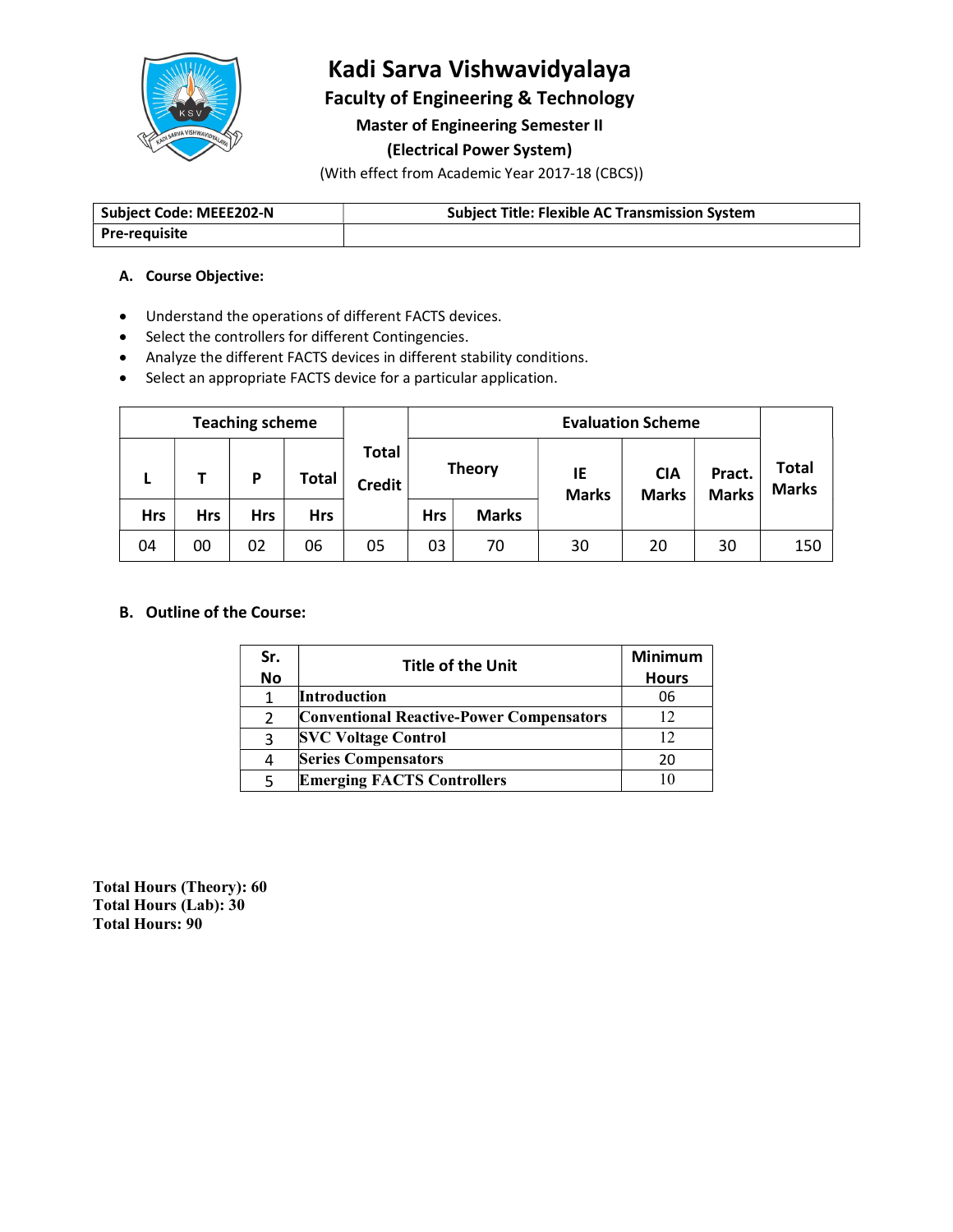

# Kadi Sarva Vishwavidyalaya

Faculty of Engineering & Technology

Master of Engineering Semester II

#### (Electrical Power System)

(With effect from Academic Year 2017-18 (CBCS))

| . MEEE202-N<br>Subject<br>code: | Title.<br>Subiect<br><b>Flexible</b><br>⊦Svstem<br><b>Transmission</b><br><b>AL</b> |
|---------------------------------|-------------------------------------------------------------------------------------|
| <b>Pre-requisite</b>            |                                                                                     |

#### A. Course Objective:

- Understand the operations of different FACTS devices.
- Select the controllers for different Contingencies.
- Analyze the different FACTS devices in different stability conditions.
- Select an appropriate FACTS device for a particular application.

| <b>Teaching scheme</b> |            |     |            |              | <b>Evaluation Scheme</b>      |            |               |                    |                            |                        |                              |
|------------------------|------------|-----|------------|--------------|-------------------------------|------------|---------------|--------------------|----------------------------|------------------------|------------------------------|
|                        | -          |     | D          | <b>Total</b> | <b>Total</b><br><b>Credit</b> |            | <b>Theory</b> | IE<br><b>Marks</b> | <b>CIA</b><br><b>Marks</b> | Pract.<br><b>Marks</b> | <b>Total</b><br><b>Marks</b> |
|                        | <b>Hrs</b> | Hrs | <b>Hrs</b> | <b>Hrs</b>   |                               | <b>Hrs</b> | <b>Marks</b>  |                    |                            |                        |                              |
|                        | 04         | 00  | 02         | 06           | 05                            | 03         | 70            | 30                 | 20                         | 30                     | 150                          |

## B. Outline of the Course:

| Sr.       | <b>Title of the Unit</b>                        | <b>Minimum</b> |
|-----------|-------------------------------------------------|----------------|
| <b>No</b> |                                                 | <b>Hours</b>   |
|           | <b>Introduction</b>                             | 06             |
|           | <b>Conventional Reactive-Power Compensators</b> |                |
|           | <b>SVC Voltage Control</b>                      |                |
| 4         | <b>Series Compensators</b>                      | 20             |
|           | <b>Emerging FACTS Controllers</b>               | 10             |

Total Hours (Theory): 60 Total Hours (Lab): 30 Total Hours: 90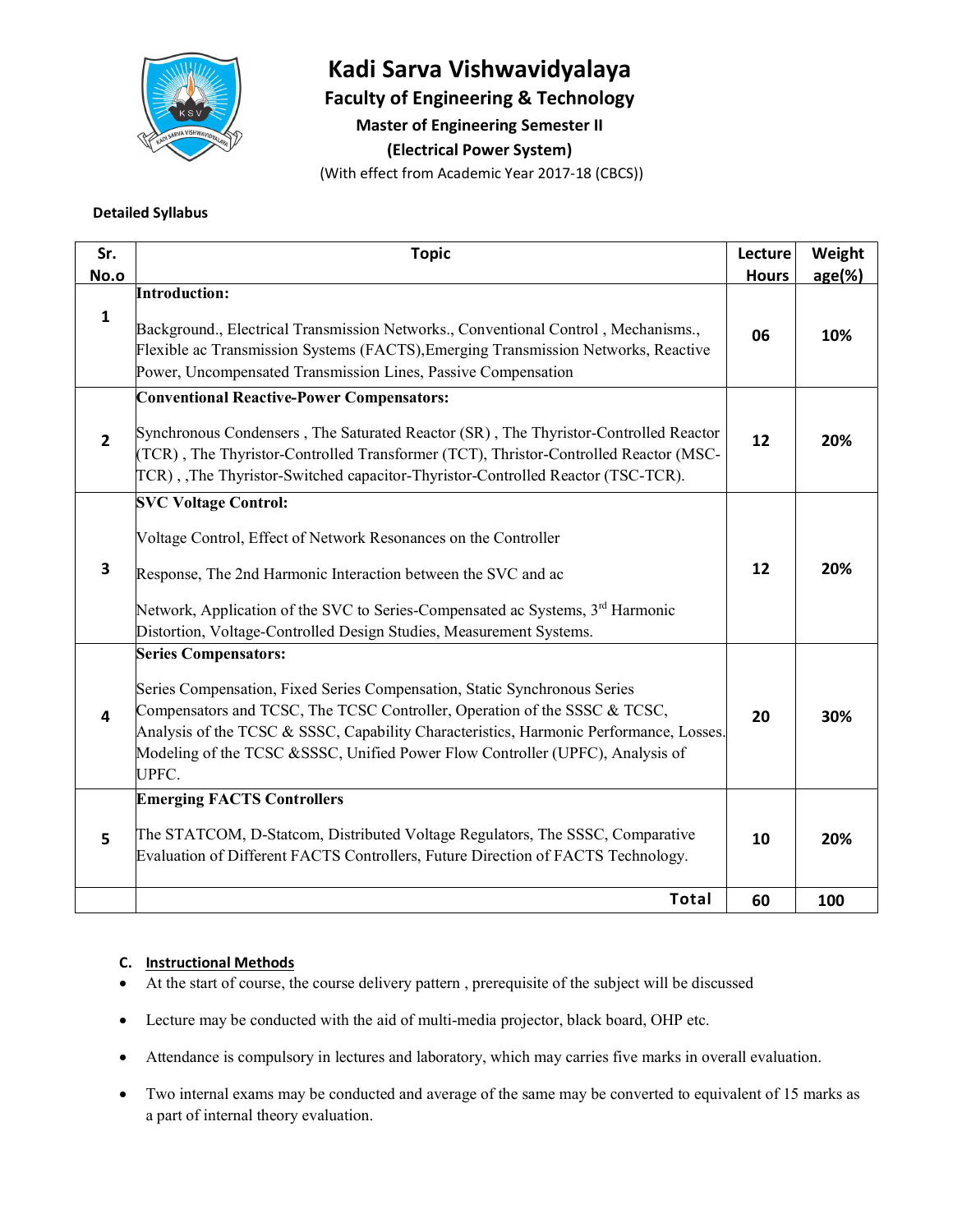

# Kadi Sarva Vishwavidyalaya

Faculty of Engineering & Technology

Master of Engineering Semester II

(Electrical Power System)

(With effect from Academic Year 2017-18 (CBCS))

#### Detailed Syllabus

| Sr.<br>No.o    | <b>Topic</b>                                                                                                                                                                                                                                                                                                                               | Lecture      | Weight    |
|----------------|--------------------------------------------------------------------------------------------------------------------------------------------------------------------------------------------------------------------------------------------------------------------------------------------------------------------------------------------|--------------|-----------|
|                | <b>Introduction:</b>                                                                                                                                                                                                                                                                                                                       | <b>Hours</b> | $age(\%)$ |
| $\mathbf{1}$   | Background., Electrical Transmission Networks., Conventional Control, Mechanisms.,<br>Flexible ac Transmission Systems (FACTS), Emerging Transmission Networks, Reactive<br>Power, Uncompensated Transmission Lines, Passive Compensation                                                                                                  | 06           | 10%       |
|                | <b>Conventional Reactive-Power Compensators:</b>                                                                                                                                                                                                                                                                                           |              |           |
| $\overline{2}$ | Synchronous Condensers, The Saturated Reactor (SR), The Thyristor-Controlled Reactor<br>(TCR), The Thyristor-Controlled Transformer (TCT), Thristor-Controlled Reactor (MSC-<br>TCR), The Thyristor-Switched capacitor-Thyristor-Controlled Reactor (TSC-TCR).                                                                             | 12           | 20%       |
|                | <b>SVC Voltage Control:</b>                                                                                                                                                                                                                                                                                                                |              |           |
| 3              | Voltage Control, Effect of Network Resonances on the Controller<br>Response, The 2nd Harmonic Interaction between the SVC and ac                                                                                                                                                                                                           | 12           | 20%       |
|                | Network, Application of the SVC to Series-Compensated ac Systems, 3 <sup>rd</sup> Harmonic<br>Distortion, Voltage-Controlled Design Studies, Measurement Systems.                                                                                                                                                                          |              |           |
|                | <b>Series Compensators:</b>                                                                                                                                                                                                                                                                                                                |              |           |
| 4              | Series Compensation, Fixed Series Compensation, Static Synchronous Series<br>Compensators and TCSC, The TCSC Controller, Operation of the SSSC & TCSC,<br>Analysis of the TCSC & SSSC, Capability Characteristics, Harmonic Performance, Losses.<br>Modeling of the TCSC &SSSC, Unified Power Flow Controller (UPFC), Analysis of<br>UPFC. | 20           | 30%       |
|                | <b>Emerging FACTS Controllers</b>                                                                                                                                                                                                                                                                                                          |              |           |
| 5              | The STATCOM, D-Statcom, Distributed Voltage Regulators, The SSSC, Comparative<br>Evaluation of Different FACTS Controllers, Future Direction of FACTS Technology.                                                                                                                                                                          | 10           | 20%       |
|                | <b>Total</b>                                                                                                                                                                                                                                                                                                                               | 60           | 100       |
|                |                                                                                                                                                                                                                                                                                                                                            |              |           |

#### C. Instructional Methods

- At the start of course, the course delivery pattern , prerequisite of the subject will be discussed
- Lecture may be conducted with the aid of multi-media projector, black board, OHP etc.
- Attendance is compulsory in lectures and laboratory, which may carries five marks in overall evaluation.
- Two internal exams may be conducted and average of the same may be converted to equivalent of 15 marks as a part of internal theory evaluation.